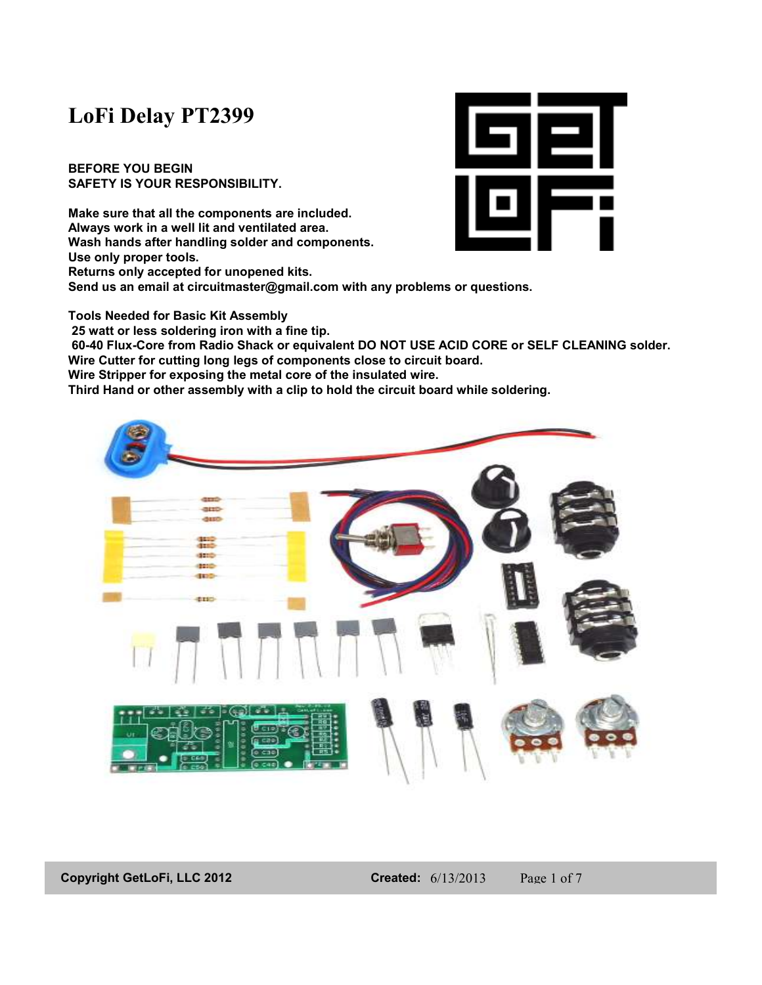# **LoFi Delay PT2399**

**BEFORE YOU BEGIN SAFETY IS YOUR RESPONSIBILITY.** 

**Make sure that all the components are included. Always work in a well lit and ventilated area. Wash hands after handling solder and components. Use only proper tools. Returns only accepted for unopened kits. Send us an email at circuitmaster@gmail.com with any problems or questions.** 



**Tools Needed for Basic Kit Assembly 25 watt or less soldering iron with a fine tip. 60-40 Flux-Core from Radio Shack or equivalent DO NOT USE ACID CORE or SELF CLEANING solder. Wire Cutter for cutting long legs of components close to circuit board. Wire Stripper for exposing the metal core of the insulated wire. Third Hand or other assembly with a clip to hold the circuit board while soldering.** 



**Copyright GetLoFi, LLC 2012 Created:** 6/13/2013 Page 1 of 7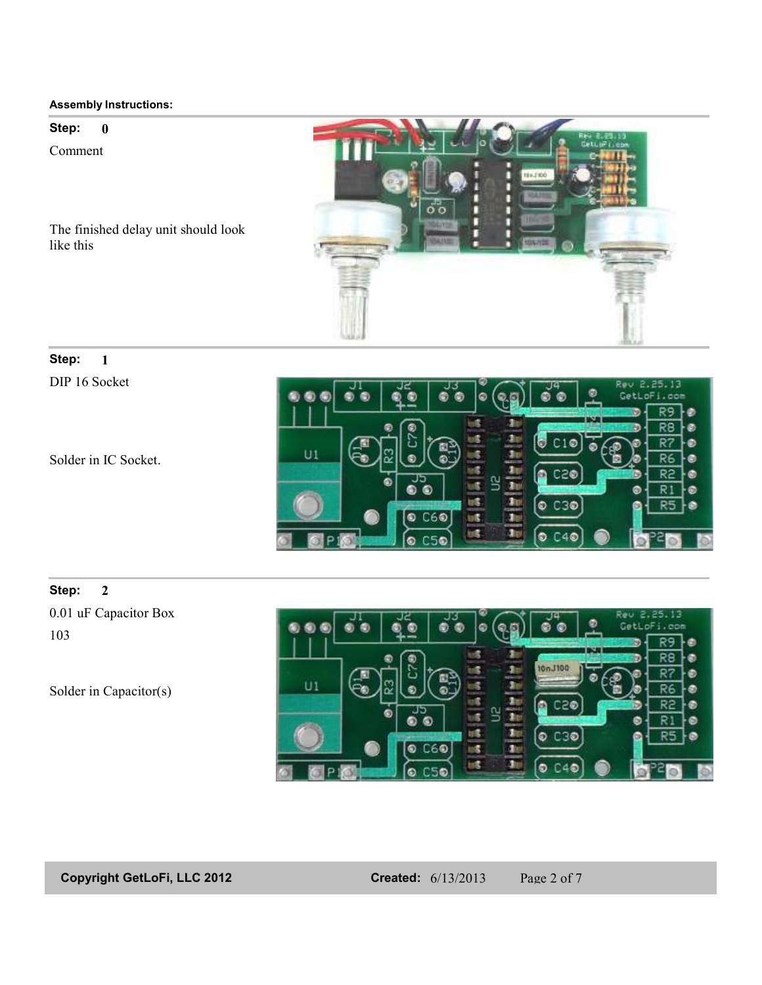**Step: 0**

Comment



The finished delay unit should look like this

## **Step: 1**

DIP 16 Socket

Solder in IC Socket.



#### **Step: 2**

0.01 uF Capacitor Box 103

Solder in Capacitor(s)



**Copyright GetLoFi, LLC 2012 Created:** 6/13/2013 Page 2 of 7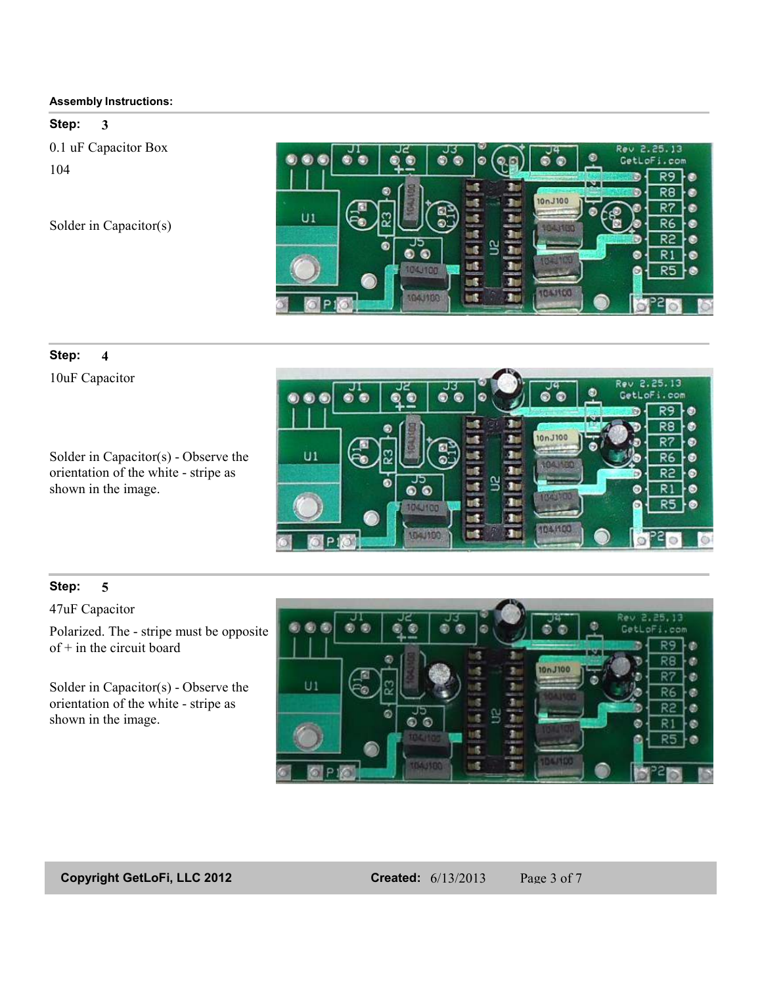#### **Step: 3**

0.1 uF Capacitor Box 104

Solder in Capacitor(s)



# **Step: 4**

10uF Capacitor

Solder in Capacitor(s) - Observe the orientation of the white - stripe as shown in the image.



### **Step: 5**

47uF Capacitor

Polarized. The - stripe must be opposite  $of + in$  the circuit board

Solder in Capacitor(s) - Observe the orientation of the white - stripe as shown in the image.



**Copyright GetLoFi, LLC 2012 Created:** 6/13/2013 Page 3 of 7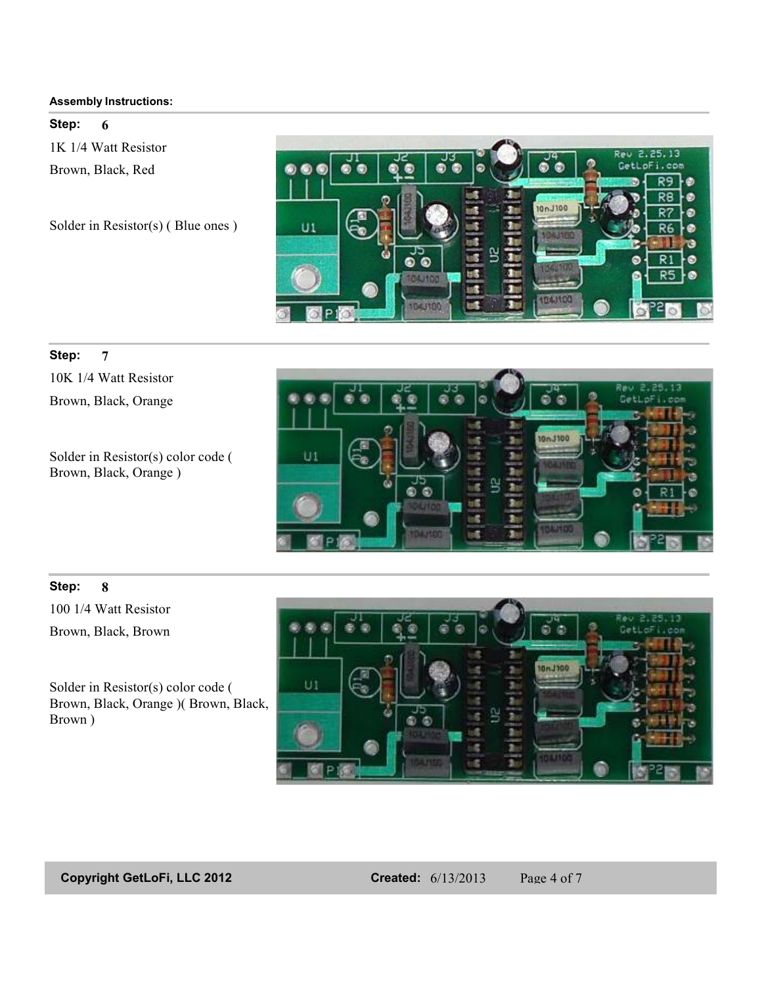**Step: 6**

1K 1/4 Watt Resistor Brown, Black, Red

Solder in Resistor(s) ( Blue ones )



#### **Step: 7**

10K 1/4 Watt Resistor Brown, Black, Orange

Solder in Resistor(s) color code ( Brown, Black, Orange )



### **Step: 8**

100 1/4 Watt Resistor Brown, Black, Brown

Solder in Resistor(s) color code ( Brown, Black, Orange )( Brown, Black, Brown )



**Copyright GetLoFi, LLC 2012 Created:** 6/13/2013 Page 4 of 7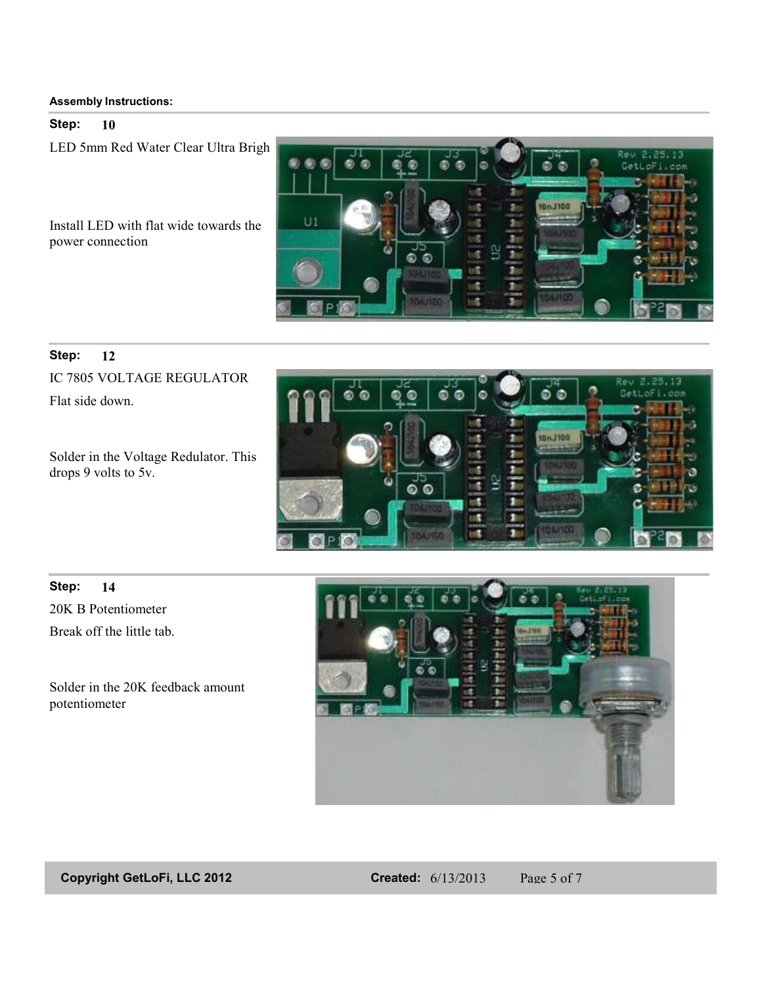#### **Step: 10**

LED 5mm Red Water Clear Ultra Brigh

Install LED with flat wide towards the power connection



#### **Step: 12**

IC 7805 VOLTAGE REGULATOR Flat side down.

Solder in the Voltage Redulator. This drops 9 volts to 5v.



20K B Potentiometer **Step: 14** Break off the little tab.

Solder in the 20K feedback amount potentiometer



**Copyright GetLoFi, LLC 2012 Created:** 6/13/2013 Page 5 of 7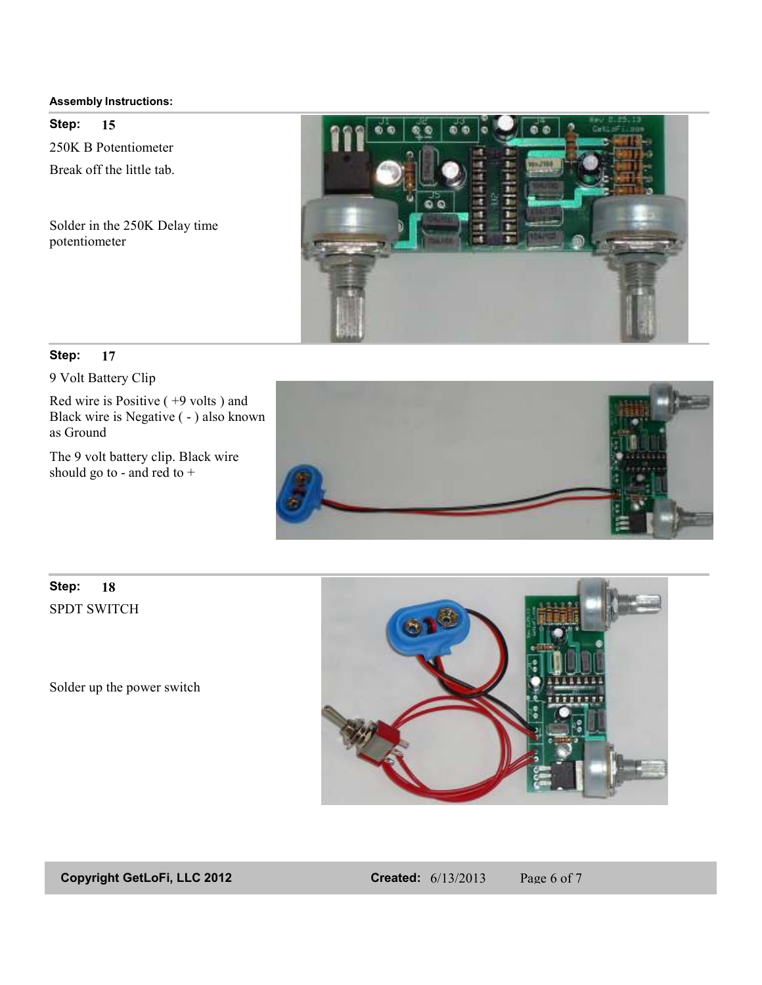250K B Potentiometer **Step: 15** Break off the little tab.

Solder in the 250K Delay time potentiometer



#### **Step: 17**

9 Volt Battery Clip

Red wire is Positive ( +9 volts ) and Black wire is Negative ( - ) also known as Ground

The 9 volt battery clip. Black wire should go to - and red to +



# SPDT SWITCH **Step: 18**

Solder up the power switch



**Copyright GetLoFi, LLC 2012 Created:** 6/13/2013 Page 6 of 7